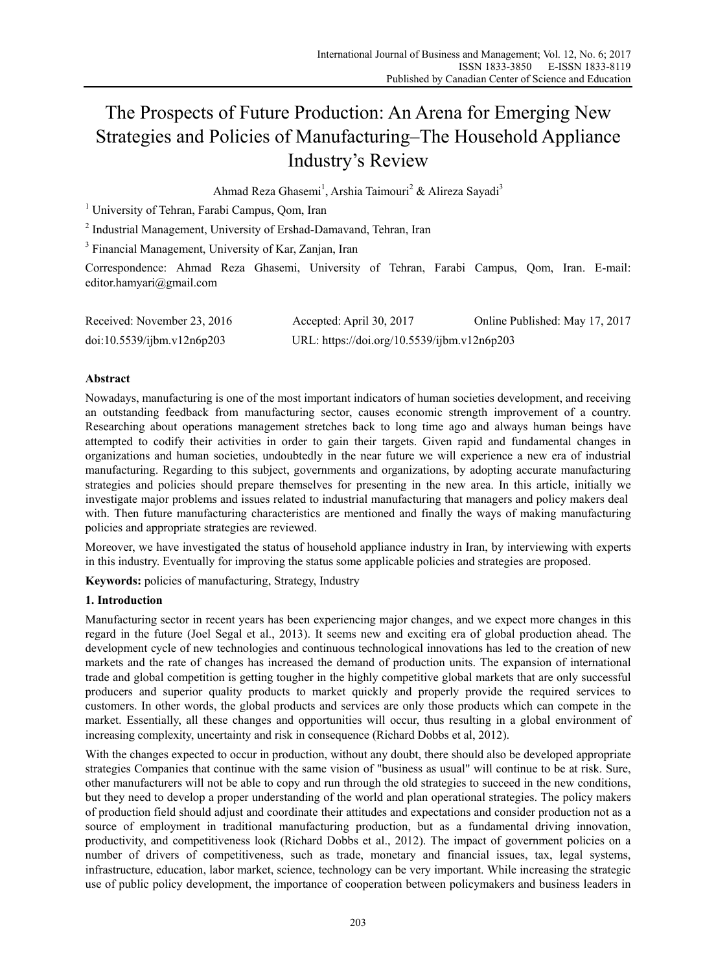# The Prospects of Future Production: An Arena for Emerging New Strategies and Policies of Manufacturing–The Household Appliance Industry's Review

Ahmad Reza Ghasemi<sup>1</sup>, Arshia Taimouri<sup>2</sup> & Alireza Sayadi<sup>3</sup>

<sup>1</sup> University of Tehran, Farabi Campus, Qom, Iran

<sup>2</sup> Industrial Management, University of Ershad-Damavand, Tehran, Iran

<sup>3</sup> Financial Management, University of Kar, Zanjan, Iran

Correspondence: Ahmad Reza Ghasemi, University of Tehran, Farabi Campus, Qom, Iran. E-mail: editor.hamyari@gmail.com

| Received: November 23, 2016 | Accepted: April 30, 2017                    | Online Published: May 17, 2017 |
|-----------------------------|---------------------------------------------|--------------------------------|
| doi:10.5539/ijbm.v12n6p203  | URL: https://doi.org/10.5539/ijbm.v12n6p203 |                                |

## **Abstract**

Nowadays, manufacturing is one of the most important indicators of human societies development, and receiving an outstanding feedback from manufacturing sector, causes economic strength improvement of a country. Researching about operations management stretches back to long time ago and always human beings have attempted to codify their activities in order to gain their targets. Given rapid and fundamental changes in organizations and human societies, undoubtedly in the near future we will experience a new era of industrial manufacturing. Regarding to this subject, governments and organizations, by adopting accurate manufacturing strategies and policies should prepare themselves for presenting in the new area. In this article, initially we investigate major problems and issues related to industrial manufacturing that managers and policy makers deal with. Then future manufacturing characteristics are mentioned and finally the ways of making manufacturing policies and appropriate strategies are reviewed.

Moreover, we have investigated the status of household appliance industry in Iran, by interviewing with experts in this industry. Eventually for improving the status some applicable policies and strategies are proposed.

**Keywords:** policies of manufacturing, Strategy, Industry

## **1. Introduction**

Manufacturing sector in recent years has been experiencing major changes, and we expect more changes in this regard in the future (Joel Segal et al., 2013). It seems new and exciting era of global production ahead. The development cycle of new technologies and continuous technological innovations has led to the creation of new markets and the rate of changes has increased the demand of production units. The expansion of international trade and global competition is getting tougher in the highly competitive global markets that are only successful producers and superior quality products to market quickly and properly provide the required services to customers. In other words, the global products and services are only those products which can compete in the market. Essentially, all these changes and opportunities will occur, thus resulting in a global environment of increasing complexity, uncertainty and risk in consequence (Richard Dobbs et al, 2012).

With the changes expected to occur in production, without any doubt, there should also be developed appropriate strategies Companies that continue with the same vision of "business as usual" will continue to be at risk. Sure, other manufacturers will not be able to copy and run through the old strategies to succeed in the new conditions, but they need to develop a proper understanding of the world and plan operational strategies. The policy makers of production field should adjust and coordinate their attitudes and expectations and consider production not as a source of employment in traditional manufacturing production, but as a fundamental driving innovation, productivity, and competitiveness look (Richard Dobbs et al., 2012). The impact of government policies on a number of drivers of competitiveness, such as trade, monetary and financial issues, tax, legal systems, infrastructure, education, labor market, science, technology can be very important. While increasing the strategic use of public policy development, the importance of cooperation between policymakers and business leaders in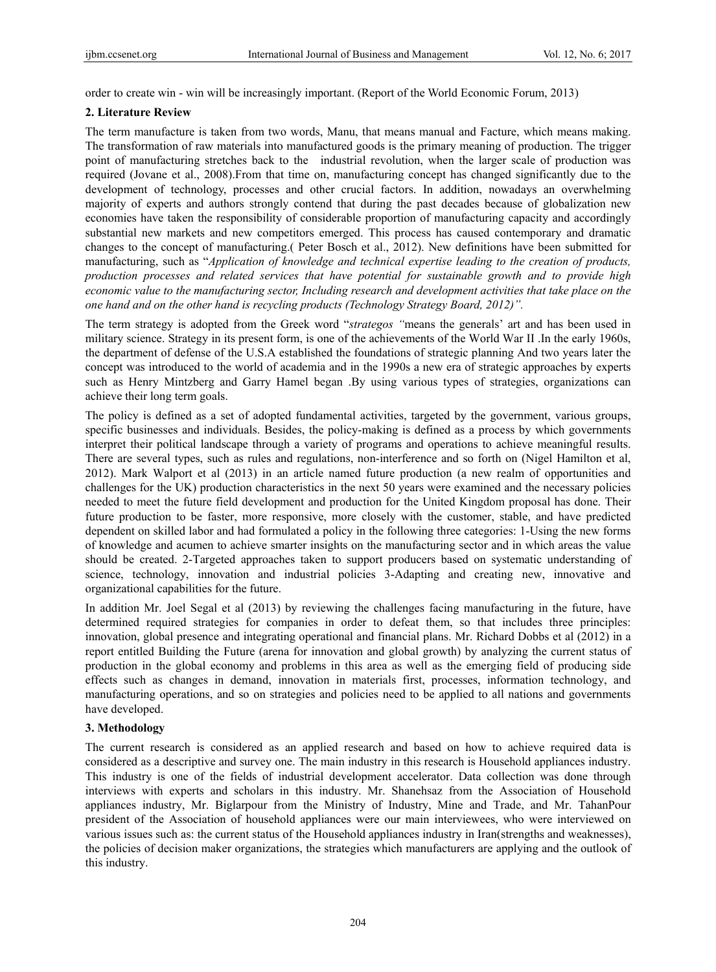order to create win - win will be increasingly important. (Report of the World Economic Forum, 2013)

#### **2. Literature Review**

The term manufacture is taken from two words, Manu, that means manual and Facture, which means making. The transformation of raw materials into manufactured goods is the primary meaning of production. The trigger point of manufacturing stretches back to the industrial revolution, when the larger scale of production was required (Jovane et al., 2008).From that time on, manufacturing concept has changed significantly due to the development of technology, processes and other crucial factors. In addition, nowadays an overwhelming majority of experts and authors strongly contend that during the past decades because of globalization new economies have taken the responsibility of considerable proportion of manufacturing capacity and accordingly substantial new markets and new competitors emerged. This process has caused contemporary and dramatic changes to the concept of manufacturing.( Peter Bosch et al., 2012). New definitions have been submitted for manufacturing, such as "*Application of knowledge and technical expertise leading to the creation of products, production processes and related services that have potential for sustainable growth and to provide high economic value to the manufacturing sector, Including research and development activities that take place on the one hand and on the other hand is recycling products (Technology Strategy Board, 2012)".* 

The term strategy is adopted from the Greek word "*strategos "*means the generals' art and has been used in military science. Strategy in its present form, is one of the achievements of the World War II .In the early 1960s, the department of defense of the U.S.A established the foundations of strategic planning And two years later the concept was introduced to the world of academia and in the 1990s a new era of strategic approaches by experts such as Henry Mintzberg and Garry Hamel began .By using various types of strategies, organizations can achieve their long term goals.

The policy is defined as a set of adopted fundamental activities, targeted by the government, various groups, specific businesses and individuals. Besides, the policy-making is defined as a process by which governments interpret their political landscape through a variety of programs and operations to achieve meaningful results. There are several types, such as rules and regulations, non-interference and so forth on (Nigel Hamilton et al, 2012). Mark Walport et al (2013) in an article named future production (a new realm of opportunities and challenges for the UK) production characteristics in the next 50 years were examined and the necessary policies needed to meet the future field development and production for the United Kingdom proposal has done. Their future production to be faster, more responsive, more closely with the customer, stable, and have predicted dependent on skilled labor and had formulated a policy in the following three categories: 1-Using the new forms of knowledge and acumen to achieve smarter insights on the manufacturing sector and in which areas the value should be created. 2-Targeted approaches taken to support producers based on systematic understanding of science, technology, innovation and industrial policies 3-Adapting and creating new, innovative and organizational capabilities for the future.

In addition Mr. Joel Segal et al (2013) by reviewing the challenges facing manufacturing in the future, have determined required strategies for companies in order to defeat them, so that includes three principles: innovation, global presence and integrating operational and financial plans. Mr. Richard Dobbs et al (2012) in a report entitled Building the Future (arena for innovation and global growth) by analyzing the current status of production in the global economy and problems in this area as well as the emerging field of producing side effects such as changes in demand, innovation in materials first, processes, information technology, and manufacturing operations, and so on strategies and policies need to be applied to all nations and governments have developed.

#### **3. Methodology**

The current research is considered as an applied research and based on how to achieve required data is considered as a descriptive and survey one. The main industry in this research is Household appliances industry. This industry is one of the fields of industrial development accelerator. Data collection was done through interviews with experts and scholars in this industry. Mr. Shanehsaz from the Association of Household appliances industry, Mr. Biglarpour from the Ministry of Industry, Mine and Trade, and Mr. TahanPour president of the Association of household appliances were our main interviewees, who were interviewed on various issues such as: the current status of the Household appliances industry in Iran(strengths and weaknesses), the policies of decision maker organizations, the strategies which manufacturers are applying and the outlook of this industry.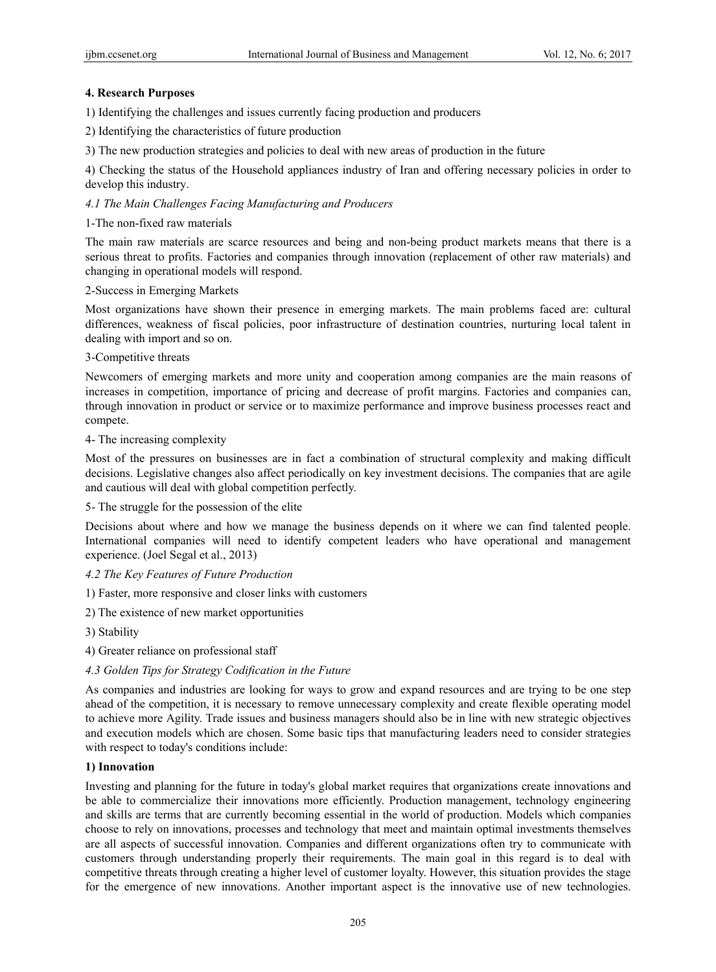## **4. Research Purposes**

1) Identifying the challenges and issues currently facing production and producers

2) Identifying the characteristics of future production

3) The new production strategies and policies to deal with new areas of production in the future

4) Checking the status of the Household appliances industry of Iran and offering necessary policies in order to develop this industry.

*4.1 The Main Challenges Facing Manufacturing and Producers* 

1-The non-fixed raw materials

The main raw materials are scarce resources and being and non-being product markets means that there is a serious threat to profits. Factories and companies through innovation (replacement of other raw materials) and changing in operational models will respond.

## 2-Success in Emerging Markets

Most organizations have shown their presence in emerging markets. The main problems faced are: cultural differences, weakness of fiscal policies, poor infrastructure of destination countries, nurturing local talent in dealing with import and so on.

## 3-Competitive threats

Newcomers of emerging markets and more unity and cooperation among companies are the main reasons of increases in competition, importance of pricing and decrease of profit margins. Factories and companies can, through innovation in product or service or to maximize performance and improve business processes react and compete.

## 4- The increasing complexity

Most of the pressures on businesses are in fact a combination of structural complexity and making difficult decisions. Legislative changes also affect periodically on key investment decisions. The companies that are agile and cautious will deal with global competition perfectly.

5- The struggle for the possession of the elite

Decisions about where and how we manage the business depends on it where we can find talented people. International companies will need to identify competent leaders who have operational and management experience. (Joel Segal et al., 2013)

*4.2 The Key Features of Future Production* 

1) Faster, more responsive and closer links with customers

2) The existence of new market opportunities

3) Stability

4) Greater reliance on professional staff

## *4.3 Golden Tips for Strategy Codification in the Future*

As companies and industries are looking for ways to grow and expand resources and are trying to be one step ahead of the competition, it is necessary to remove unnecessary complexity and create flexible operating model to achieve more Agility. Trade issues and business managers should also be in line with new strategic objectives and execution models which are chosen. Some basic tips that manufacturing leaders need to consider strategies with respect to today's conditions include:

## **1) Innovation**

Investing and planning for the future in today's global market requires that organizations create innovations and be able to commercialize their innovations more efficiently. Production management, technology engineering and skills are terms that are currently becoming essential in the world of production. Models which companies choose to rely on innovations, processes and technology that meet and maintain optimal investments themselves are all aspects of successful innovation. Companies and different organizations often try to communicate with customers through understanding properly their requirements. The main goal in this regard is to deal with competitive threats through creating a higher level of customer loyalty. However, this situation provides the stage for the emergence of new innovations. Another important aspect is the innovative use of new technologies.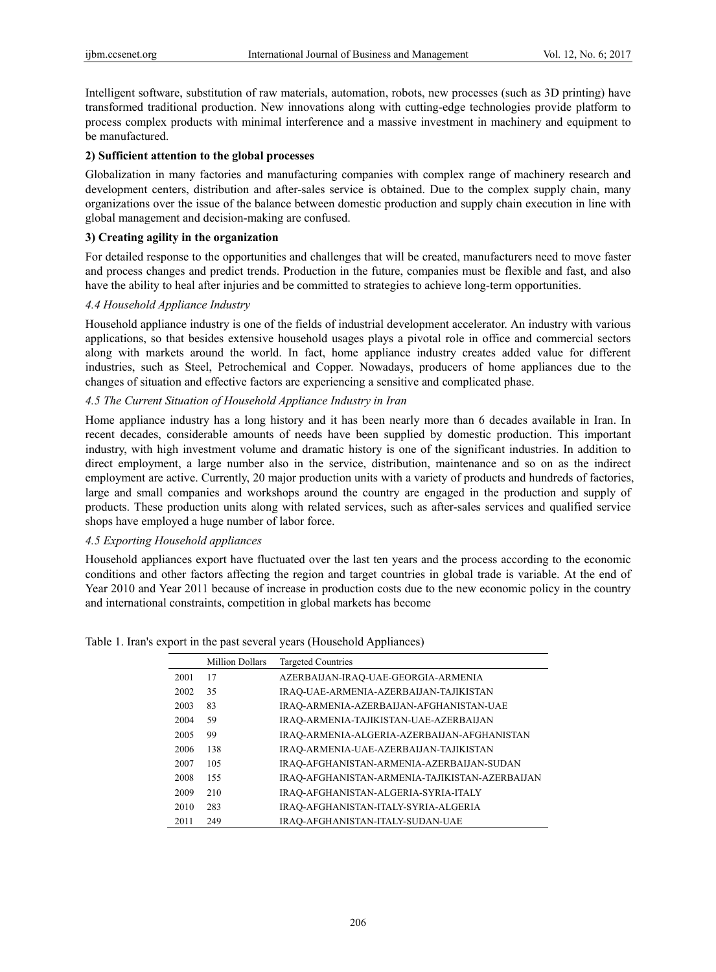Intelligent software, substitution of raw materials, automation, robots, new processes (such as 3D printing) have transformed traditional production. New innovations along with cutting-edge technologies provide platform to process complex products with minimal interference and a massive investment in machinery and equipment to be manufactured.

#### **2) Sufficient attention to the global processes**

Globalization in many factories and manufacturing companies with complex range of machinery research and development centers, distribution and after-sales service is obtained. Due to the complex supply chain, many organizations over the issue of the balance between domestic production and supply chain execution in line with global management and decision-making are confused.

## **3) Creating agility in the organization**

For detailed response to the opportunities and challenges that will be created, manufacturers need to move faster and process changes and predict trends. Production in the future, companies must be flexible and fast, and also have the ability to heal after injuries and be committed to strategies to achieve long-term opportunities.

## *4.4 Household Appliance Industry*

Household appliance industry is one of the fields of industrial development accelerator. An industry with various applications, so that besides extensive household usages plays a pivotal role in office and commercial sectors along with markets around the world. In fact, home appliance industry creates added value for different industries, such as Steel, Petrochemical and Copper. Nowadays, producers of home appliances due to the changes of situation and effective factors are experiencing a sensitive and complicated phase.

#### *4.5 The Current Situation of Household Appliance Industry in Iran*

Home appliance industry has a long history and it has been nearly more than 6 decades available in Iran. In recent decades, considerable amounts of needs have been supplied by domestic production. This important industry, with high investment volume and dramatic history is one of the significant industries. In addition to direct employment, a large number also in the service, distribution, maintenance and so on as the indirect employment are active. Currently, 20 major production units with a variety of products and hundreds of factories, large and small companies and workshops around the country are engaged in the production and supply of products. These production units along with related services, such as after-sales services and qualified service shops have employed a huge number of labor force.

#### *4.5 Exporting Household appliances*

Household appliances export have fluctuated over the last ten years and the process according to the economic conditions and other factors affecting the region and target countries in global trade is variable. At the end of Year 2010 and Year 2011 because of increase in production costs due to the new economic policy in the country and international constraints, competition in global markets has become

|      | <b>Million Dollars</b> | <b>Targeted Countries</b>                      |
|------|------------------------|------------------------------------------------|
| 2001 | 17                     | AZERBAIJAN-IRAQ-UAE-GEORGIA-ARMENIA            |
| 2002 | 35                     | IRAQ-UAE-ARMENIA-AZERBAIJAN-TAJIKISTAN         |
| 2003 | 83                     | IRAQ-ARMENIA-AZERBAIJAN-AFGHANISTAN-UAE        |
| 2004 | 59                     | IRAQ-ARMENIA-TAJIKISTAN-UAE-AZERBAIJAN         |
| 2005 | 99                     | IRAQ-ARMENIA-ALGERIA-AZERBAIJAN-AFGHANISTAN    |
| 2006 | 138                    | IRAQ-ARMENIA-UAE-AZERBAIJAN-TAJIKISTAN         |
| 2007 | 105                    | IRAQ-AFGHANISTAN-ARMENIA-AZERBAIJAN-SUDAN      |
| 2008 | 155                    | IRAQ-AFGHANISTAN-ARMENIA-TAJIKISTAN-AZERBAIJAN |
| 2009 | 210                    | IRAQ-AFGHANISTAN-ALGERIA-SYRIA-ITALY           |
| 2010 | 283                    | IRAQ-AFGHANISTAN-ITALY-SYRIA-ALGERIA           |
| 2011 | 249                    | IRAQ-AFGHANISTAN-ITALY-SUDAN-UAE               |

|  |  |  | Table 1. Iran's export in the past several years (Household Appliances) |
|--|--|--|-------------------------------------------------------------------------|
|--|--|--|-------------------------------------------------------------------------|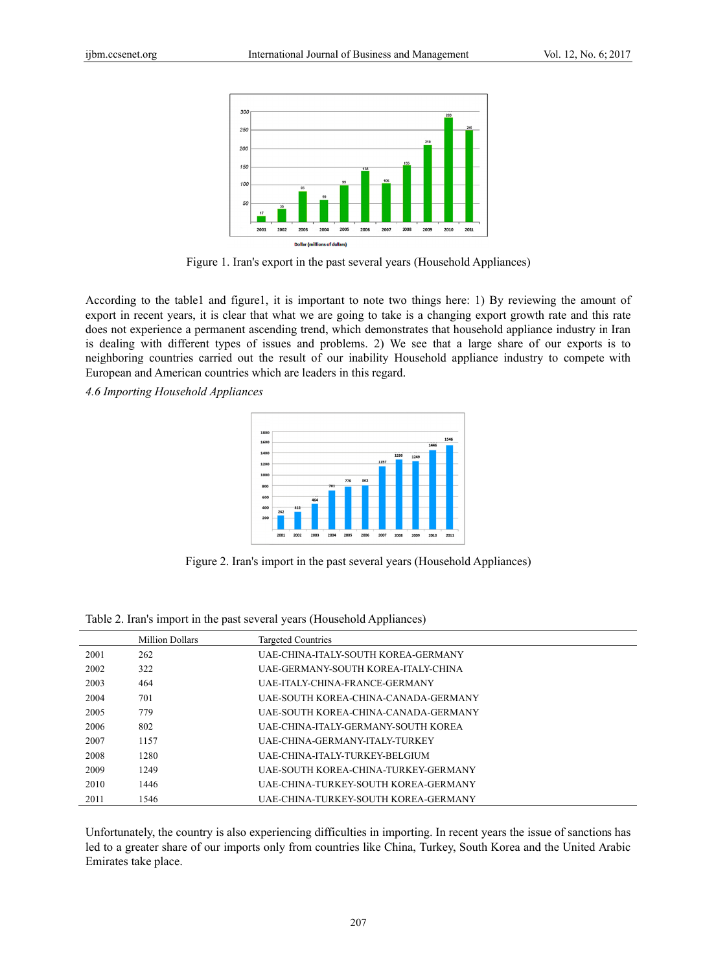

Figure 1. Iran's export in the past several years (Household Appliances)

According to the table1 and figure1, it is important to note two things here: 1) By reviewing the amount of export in recent years, it is clear that what we are going to take is a changing export growth rate and this rate does not experience a permanent ascending trend, which demonstrates that household appliance industry in Iran is dealing with different types of issues and problems. 2) We see that a large share of our exports is to neighboring countries carried out the result of our inability Household appliance industry to compete with European and American countries which are leaders in this regard.

*4.6 Import ting Household d Appliances* 



Figure 2. Iran's import in the past several years (Household Appliances)

Table 2. Iran's import in the past several years (Household Appliances)

|                                                                                                                       | <b>Million Dollars</b> | <b>Targeted Countries</b>            |
|-----------------------------------------------------------------------------------------------------------------------|------------------------|--------------------------------------|
| 2001                                                                                                                  | 262                    | UAE-CHINA-ITALY-SOUTH KOREA-GERMANY  |
| 2002                                                                                                                  | 322                    | UAE-GERMANY-SOUTH KOREA-ITALY-CHINA  |
| 2003                                                                                                                  | 464                    | UAE-ITALY-CHINA-FRANCE-GERMANY       |
| 2004                                                                                                                  | 701                    | UAE-SOUTH KOREA-CHINA-CANADA-GERMANY |
| 2005                                                                                                                  | 779                    | UAE-SOUTH KOREA-CHINA-CANADA-GERMANY |
| 2006                                                                                                                  | 802                    | UAE-CHINA-ITALY-GERMANY-SOUTH KOREA  |
| 2007                                                                                                                  | 1157                   | UAE-CHINA-GERMANY-ITALY-TURKEY       |
| 2008                                                                                                                  | 1280                   | UAE-CHINA-ITALY-TURKEY-BELGIUM       |
| 2009                                                                                                                  | 1249                   | UAE-SOUTH KOREA-CHINA-TURKEY-GERMANY |
| 2010                                                                                                                  | 1446                   | UAE-CHINA-TURKEY-SOUTH KOREA-GERMANY |
| 2011                                                                                                                  | 1546                   | UAE-CHINA-TURKEY-SOUTH KOREA-GERMANY |
| Unfortunately, the country is also experiencing difficulties in importing. In recent years the issue of sanctions has |                        |                                      |

led to a greater share of our imports only from countries like China, Turkey, South Korea and the United Arabic Emirates t ake place.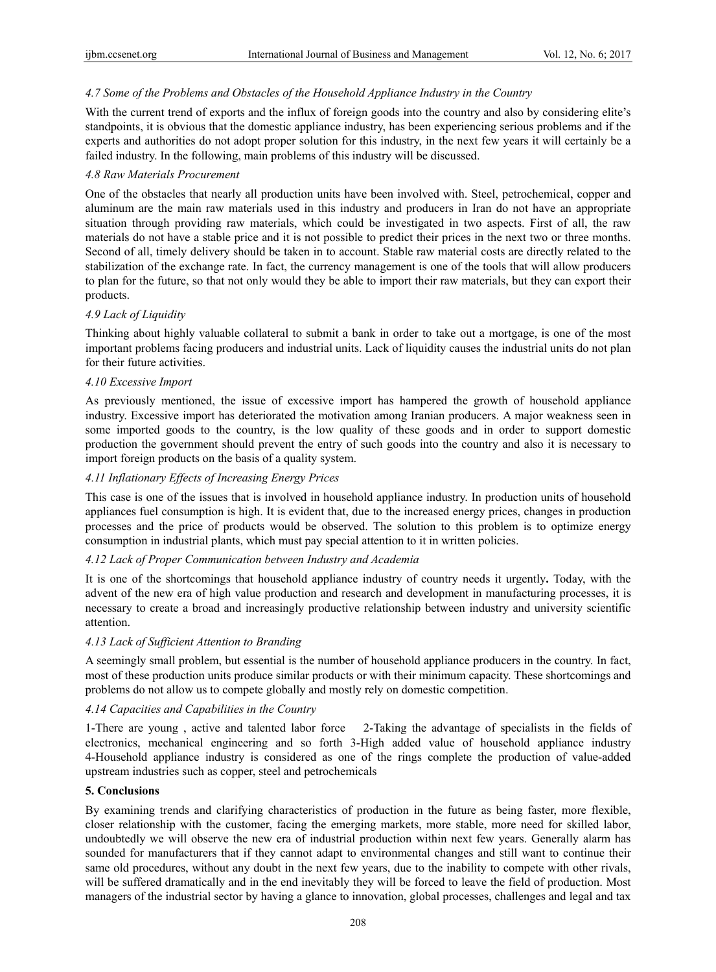## *4.7 Some of the Problems and Obstacles of the Household Appliance Industry in the Country*

With the current trend of exports and the influx of foreign goods into the country and also by considering elite's standpoints, it is obvious that the domestic appliance industry, has been experiencing serious problems and if the experts and authorities do not adopt proper solution for this industry, in the next few years it will certainly be a failed industry. In the following, main problems of this industry will be discussed.

#### *4.8 Raw Materials Procurement*

One of the obstacles that nearly all production units have been involved with. Steel, petrochemical, copper and aluminum are the main raw materials used in this industry and producers in Iran do not have an appropriate situation through providing raw materials, which could be investigated in two aspects. First of all, the raw materials do not have a stable price and it is not possible to predict their prices in the next two or three months. Second of all, timely delivery should be taken in to account. Stable raw material costs are directly related to the stabilization of the exchange rate. In fact, the currency management is one of the tools that will allow producers to plan for the future, so that not only would they be able to import their raw materials, but they can export their products.

#### *4.9 Lack of Liquidity*

Thinking about highly valuable collateral to submit a bank in order to take out a mortgage, is one of the most important problems facing producers and industrial units. Lack of liquidity causes the industrial units do not plan for their future activities.

#### *4.10 Excessive Import*

As previously mentioned, the issue of excessive import has hampered the growth of household appliance industry. Excessive import has deteriorated the motivation among Iranian producers. A major weakness seen in some imported goods to the country, is the low quality of these goods and in order to support domestic production the government should prevent the entry of such goods into the country and also it is necessary to import foreign products on the basis of a quality system.

## *4.11 Inflationary Effects of Increasing Energy Prices*

This case is one of the issues that is involved in household appliance industry. In production units of household appliances fuel consumption is high. It is evident that, due to the increased energy prices, changes in production processes and the price of products would be observed. The solution to this problem is to optimize energy consumption in industrial plants, which must pay special attention to it in written policies.

#### *4.12 Lack of Proper Communication between Industry and Academia*

It is one of the shortcomings that household appliance industry of country needs it urgently**.** Today, with the advent of the new era of high value production and research and development in manufacturing processes, it is necessary to create a broad and increasingly productive relationship between industry and university scientific attention.

#### *4.13 Lack of Sufficient Attention to Branding*

A seemingly small problem, but essential is the number of household appliance producers in the country. In fact, most of these production units produce similar products or with their minimum capacity. These shortcomings and problems do not allow us to compete globally and mostly rely on domestic competition.

#### *4.14 Capacities and Capabilities in the Country*

1-There are young , active and talented labor force 2-Taking the advantage of specialists in the fields of electronics, mechanical engineering and so forth 3-High added value of household appliance industry 4-Household appliance industry is considered as one of the rings complete the production of value-added upstream industries such as copper, steel and petrochemicals

#### **5. Conclusions**

By examining trends and clarifying characteristics of production in the future as being faster, more flexible, closer relationship with the customer, facing the emerging markets, more stable, more need for skilled labor, undoubtedly we will observe the new era of industrial production within next few years. Generally alarm has sounded for manufacturers that if they cannot adapt to environmental changes and still want to continue their same old procedures, without any doubt in the next few years, due to the inability to compete with other rivals, will be suffered dramatically and in the end inevitably they will be forced to leave the field of production. Most managers of the industrial sector by having a glance to innovation, global processes, challenges and legal and tax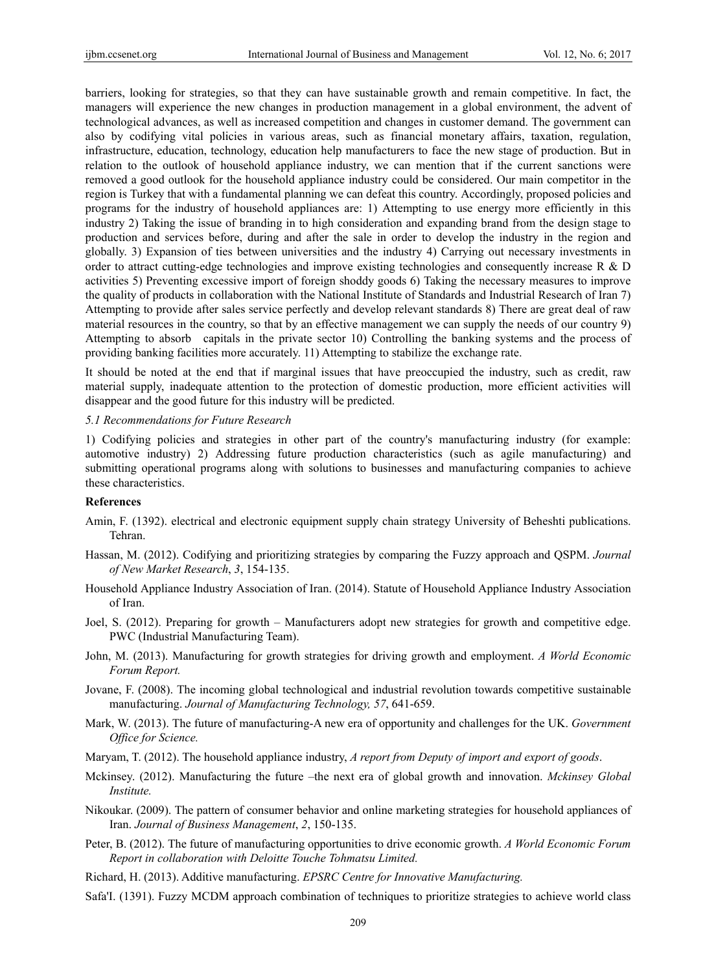barriers, looking for strategies, so that they can have sustainable growth and remain competitive. In fact, the managers will experience the new changes in production management in a global environment, the advent of technological advances, as well as increased competition and changes in customer demand. The government can also by codifying vital policies in various areas, such as financial monetary affairs, taxation, regulation, infrastructure, education, technology, education help manufacturers to face the new stage of production. But in relation to the outlook of household appliance industry, we can mention that if the current sanctions were removed a good outlook for the household appliance industry could be considered. Our main competitor in the region is Turkey that with a fundamental planning we can defeat this country. Accordingly, proposed policies and programs for the industry of household appliances are: 1) Attempting to use energy more efficiently in this industry 2) Taking the issue of branding in to high consideration and expanding brand from the design stage to production and services before, during and after the sale in order to develop the industry in the region and globally. 3) Expansion of ties between universities and the industry 4) Carrying out necessary investments in order to attract cutting-edge technologies and improve existing technologies and consequently increase R & D activities 5) Preventing excessive import of foreign shoddy goods 6) Taking the necessary measures to improve the quality of products in collaboration with the National Institute of Standards and Industrial Research of Iran 7) Attempting to provide after sales service perfectly and develop relevant standards 8) There are great deal of raw material resources in the country, so that by an effective management we can supply the needs of our country 9) Attempting to absorb capitals in the private sector 10) Controlling the banking systems and the process of providing banking facilities more accurately. 11) Attempting to stabilize the exchange rate.

It should be noted at the end that if marginal issues that have preoccupied the industry, such as credit, raw material supply, inadequate attention to the protection of domestic production, more efficient activities will disappear and the good future for this industry will be predicted.

#### *5.1 Recommendations for Future Research*

1) Codifying policies and strategies in other part of the country's manufacturing industry (for example: automotive industry) 2) Addressing future production characteristics (such as agile manufacturing) and submitting operational programs along with solutions to businesses and manufacturing companies to achieve these characteristics.

## **References**

- Amin, F. (1392). electrical and electronic equipment supply chain strategy University of Beheshti publications. Tehran.
- Hassan, M. (2012). Codifying and prioritizing strategies by comparing the Fuzzy approach and QSPM. *Journal of New Market Research*, *3*, 154-135.
- Household Appliance Industry Association of Iran. (2014). Statute of Household Appliance Industry Association of Iran.
- Joel, S. (2012). Preparing for growth Manufacturers adopt new strategies for growth and competitive edge. PWC (Industrial Manufacturing Team).
- John, M. (2013). Manufacturing for growth strategies for driving growth and employment. *A World Economic Forum Report.*
- Jovane, F. (2008). The incoming global technological and industrial revolution towards competitive sustainable manufacturing. *Journal of Manufacturing Technology, 57*, 641-659.
- Mark, W. (2013). The future of manufacturing-A new era of opportunity and challenges for the UK. *Government Office for Science.*
- Maryam, T. (2012). The household appliance industry, *A report from Deputy of import and export of goods*.
- Mckinsey. (2012). Manufacturing the future –the next era of global growth and innovation. *Mckinsey Global Institute.*
- Nikoukar. (2009). The pattern of consumer behavior and online marketing strategies for household appliances of Iran. *Journal of Business Management*, *2*, 150-135.
- Peter, B. (2012). The future of manufacturing opportunities to drive economic growth. *A World Economic Forum Report in collaboration with Deloitte Touche Tohmatsu Limited.*
- Richard, H. (2013). Additive manufacturing. *EPSRC Centre for Innovative Manufacturing.*

Safa'I. (1391). Fuzzy MCDM approach combination of techniques to prioritize strategies to achieve world class